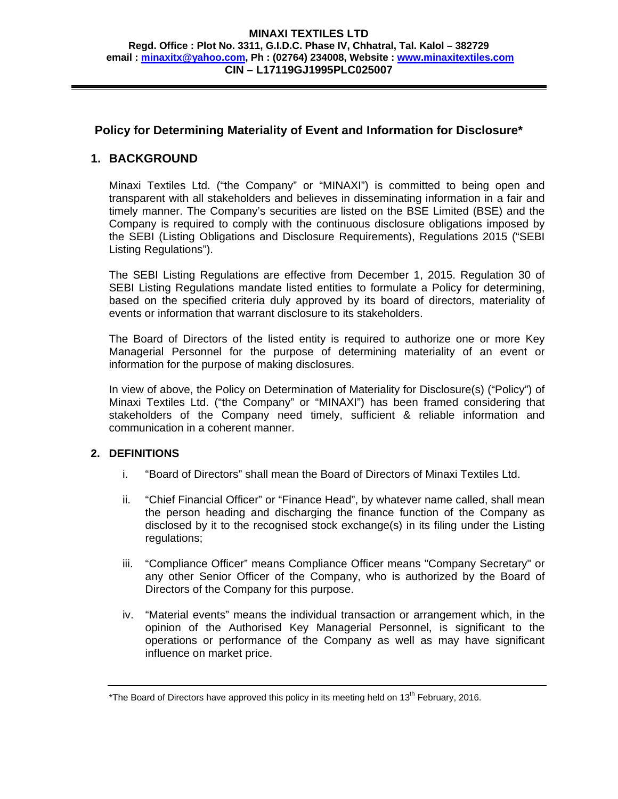#### **MINAXI TEXTILES LTD Regd. Office : Plot No. 3311, G.I.D.C. Phase IV, Chhatral, Tal. Kalol – 382729 email : minaxitx@yahoo.com, Ph : (02764) 234008, Website : www.minaxitextiles.com CIN – L17119GJ1995PLC025007**

# **Policy for Determining Materiality of Event and Information for Disclosure\***

# **1. BACKGROUND**

Minaxi Textiles Ltd. ("the Company" or "MINAXI") is committed to being open and transparent with all stakeholders and believes in disseminating information in a fair and timely manner. The Company's securities are listed on the BSE Limited (BSE) and the Company is required to comply with the continuous disclosure obligations imposed by the SEBI (Listing Obligations and Disclosure Requirements), Regulations 2015 ("SEBI Listing Regulations").

The SEBI Listing Regulations are effective from December 1, 2015. Regulation 30 of SEBI Listing Regulations mandate listed entities to formulate a Policy for determining, based on the specified criteria duly approved by its board of directors, materiality of events or information that warrant disclosure to its stakeholders.

The Board of Directors of the listed entity is required to authorize one or more Key Managerial Personnel for the purpose of determining materiality of an event or information for the purpose of making disclosures.

In view of above, the Policy on Determination of Materiality for Disclosure(s) ("Policy") of Minaxi Textiles Ltd. ("the Company" or "MINAXI") has been framed considering that stakeholders of the Company need timely, sufficient & reliable information and communication in a coherent manner.

#### **2. DEFINITIONS**

- i. "Board of Directors" shall mean the Board of Directors of Minaxi Textiles Ltd.
- ii. "Chief Financial Officer" or "Finance Head", by whatever name called, shall mean the person heading and discharging the finance function of the Company as disclosed by it to the recognised stock exchange(s) in its filing under the Listing regulations;
- iii. "Compliance Officer" means Compliance Officer means "Company Secretary" or any other Senior Officer of the Company, who is authorized by the Board of Directors of the Company for this purpose.
- iv. "Material events" means the individual transaction or arrangement which, in the opinion of the Authorised Key Managerial Personnel, is significant to the operations or performance of the Company as well as may have significant influence on market price.

<sup>\*</sup>The Board of Directors have approved this policy in its meeting held on  $13<sup>th</sup>$  February, 2016.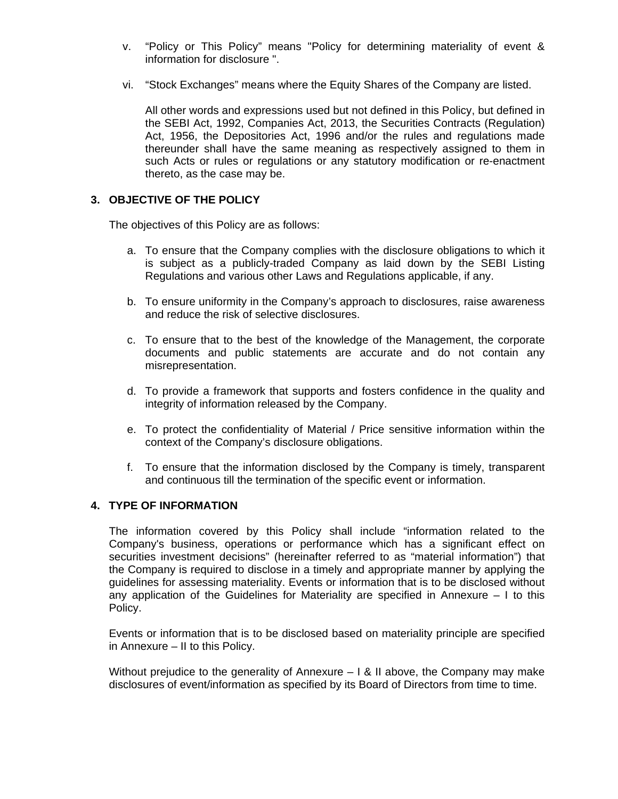- v. "Policy or This Policy" means "Policy for determining materiality of event & information for disclosure ".
- vi. "Stock Exchanges" means where the Equity Shares of the Company are listed.

All other words and expressions used but not defined in this Policy, but defined in the SEBI Act, 1992, Companies Act, 2013, the Securities Contracts (Regulation) Act, 1956, the Depositories Act, 1996 and/or the rules and regulations made thereunder shall have the same meaning as respectively assigned to them in such Acts or rules or regulations or any statutory modification or re-enactment thereto, as the case may be.

# **3. OBJECTIVE OF THE POLICY**

The objectives of this Policy are as follows:

- a. To ensure that the Company complies with the disclosure obligations to which it is subject as a publicly-traded Company as laid down by the SEBI Listing Regulations and various other Laws and Regulations applicable, if any.
- b. To ensure uniformity in the Company's approach to disclosures, raise awareness and reduce the risk of selective disclosures.
- c. To ensure that to the best of the knowledge of the Management, the corporate documents and public statements are accurate and do not contain any misrepresentation.
- d. To provide a framework that supports and fosters confidence in the quality and integrity of information released by the Company.
- e. To protect the confidentiality of Material / Price sensitive information within the context of the Company's disclosure obligations.
- f. To ensure that the information disclosed by the Company is timely, transparent and continuous till the termination of the specific event or information.

### **4. TYPE OF INFORMATION**

The information covered by this Policy shall include "information related to the Company's business, operations or performance which has a significant effect on securities investment decisions" (hereinafter referred to as "material information") that the Company is required to disclose in a timely and appropriate manner by applying the guidelines for assessing materiality. Events or information that is to be disclosed without any application of the Guidelines for Materiality are specified in Annexure  $-1$  to this Policy.

Events or information that is to be disclosed based on materiality principle are specified in Annexure – II to this Policy.

Without prejudice to the generality of Annexure  $-1$  & II above, the Company may make disclosures of event/information as specified by its Board of Directors from time to time.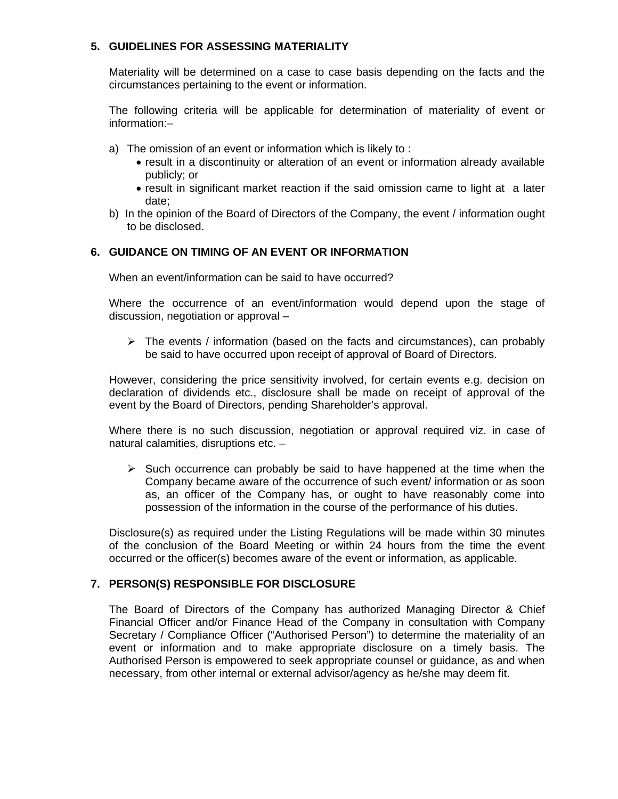# **5. GUIDELINES FOR ASSESSING MATERIALITY**

Materiality will be determined on a case to case basis depending on the facts and the circumstances pertaining to the event or information.

The following criteria will be applicable for determination of materiality of event or information:–

- a) The omission of an event or information which is likely to :
	- result in a discontinuity or alteration of an event or information already available publicly; or
	- result in significant market reaction if the said omission came to light at a later date;
- b) In the opinion of the Board of Directors of the Company, the event / information ought to be disclosed.

# **6. GUIDANCE ON TIMING OF AN EVENT OR INFORMATION**

When an event/information can be said to have occurred?

Where the occurrence of an event/information would depend upon the stage of discussion, negotiation or approval –

 $\triangleright$  The events / information (based on the facts and circumstances), can probably be said to have occurred upon receipt of approval of Board of Directors.

However, considering the price sensitivity involved, for certain events e.g. decision on declaration of dividends etc., disclosure shall be made on receipt of approval of the event by the Board of Directors, pending Shareholder's approval.

Where there is no such discussion, negotiation or approval required viz. in case of natural calamities, disruptions etc. –

 $\triangleright$  Such occurrence can probably be said to have happened at the time when the Company became aware of the occurrence of such event/ information or as soon as, an officer of the Company has, or ought to have reasonably come into possession of the information in the course of the performance of his duties.

Disclosure(s) as required under the Listing Regulations will be made within 30 minutes of the conclusion of the Board Meeting or within 24 hours from the time the event occurred or the officer(s) becomes aware of the event or information, as applicable.

# **7. PERSON(S) RESPONSIBLE FOR DISCLOSURE**

The Board of Directors of the Company has authorized Managing Director & Chief Financial Officer and/or Finance Head of the Company in consultation with Company Secretary / Compliance Officer ("Authorised Person") to determine the materiality of an event or information and to make appropriate disclosure on a timely basis. The Authorised Person is empowered to seek appropriate counsel or guidance, as and when necessary, from other internal or external advisor/agency as he/she may deem fit.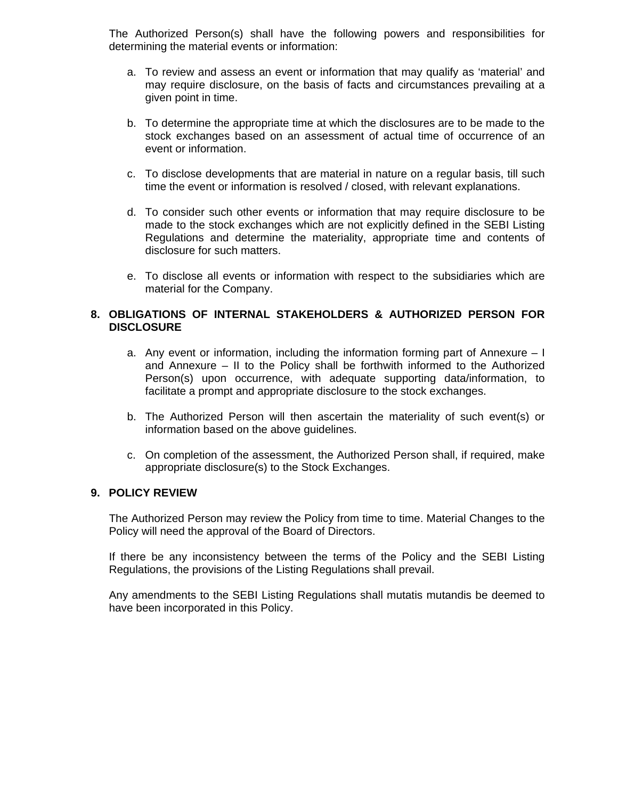The Authorized Person(s) shall have the following powers and responsibilities for determining the material events or information:

- a. To review and assess an event or information that may qualify as 'material' and may require disclosure, on the basis of facts and circumstances prevailing at a given point in time.
- b. To determine the appropriate time at which the disclosures are to be made to the stock exchanges based on an assessment of actual time of occurrence of an event or information.
- c. To disclose developments that are material in nature on a regular basis, till such time the event or information is resolved / closed, with relevant explanations.
- d. To consider such other events or information that may require disclosure to be made to the stock exchanges which are not explicitly defined in the SEBI Listing Regulations and determine the materiality, appropriate time and contents of disclosure for such matters.
- e. To disclose all events or information with respect to the subsidiaries which are material for the Company.

### **8. OBLIGATIONS OF INTERNAL STAKEHOLDERS & AUTHORIZED PERSON FOR DISCLOSURE**

- a. Any event or information, including the information forming part of Annexure I and Annexure – II to the Policy shall be forthwith informed to the Authorized Person(s) upon occurrence, with adequate supporting data/information, to facilitate a prompt and appropriate disclosure to the stock exchanges.
- b. The Authorized Person will then ascertain the materiality of such event(s) or information based on the above guidelines.
- c. On completion of the assessment, the Authorized Person shall, if required, make appropriate disclosure(s) to the Stock Exchanges.

#### **9. POLICY REVIEW**

The Authorized Person may review the Policy from time to time. Material Changes to the Policy will need the approval of the Board of Directors.

If there be any inconsistency between the terms of the Policy and the SEBI Listing Regulations, the provisions of the Listing Regulations shall prevail.

Any amendments to the SEBI Listing Regulations shall mutatis mutandis be deemed to have been incorporated in this Policy.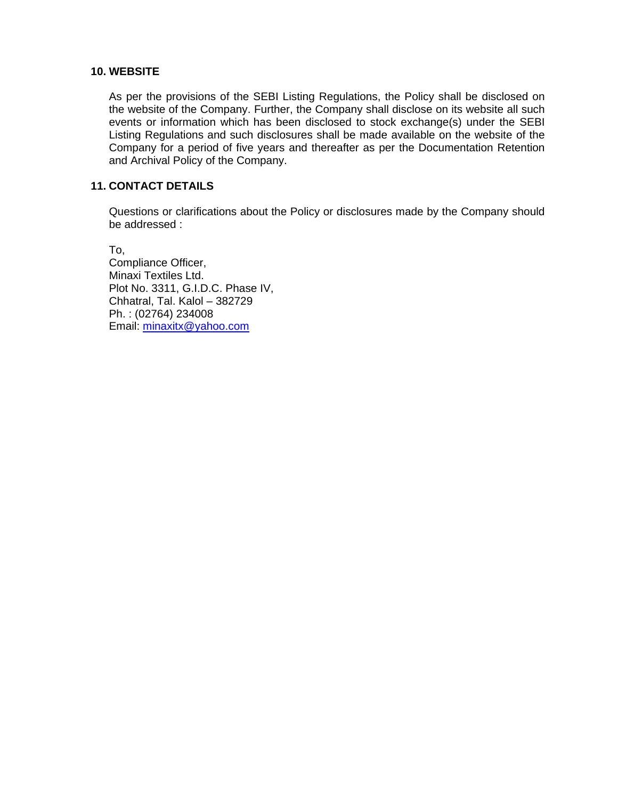### **10. WEBSITE**

As per the provisions of the SEBI Listing Regulations, the Policy shall be disclosed on the website of the Company. Further, the Company shall disclose on its website all such events or information which has been disclosed to stock exchange(s) under the SEBI Listing Regulations and such disclosures shall be made available on the website of the Company for a period of five years and thereafter as per the Documentation Retention and Archival Policy of the Company.

### **11. CONTACT DETAILS**

Questions or clarifications about the Policy or disclosures made by the Company should be addressed :

To, Compliance Officer, Minaxi Textiles Ltd. Plot No. 3311, G.I.D.C. Phase IV, Chhatral, Tal. Kalol – 382729 Ph. : (02764) 234008 Email: minaxitx@yahoo.com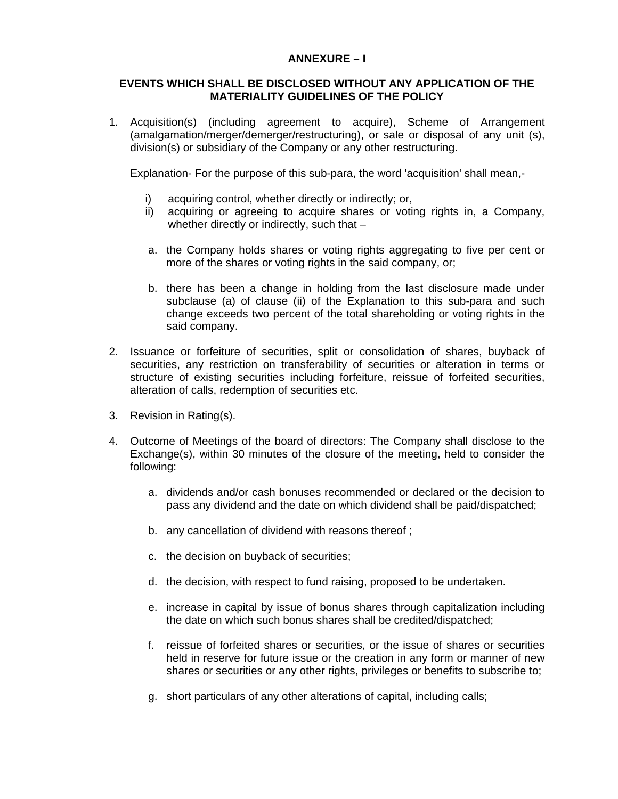# **ANNEXURE – I**

#### **EVENTS WHICH SHALL BE DISCLOSED WITHOUT ANY APPLICATION OF THE MATERIALITY GUIDELINES OF THE POLICY**

1. Acquisition(s) (including agreement to acquire), Scheme of Arrangement (amalgamation/merger/demerger/restructuring), or sale or disposal of any unit (s), division(s) or subsidiary of the Company or any other restructuring.

Explanation- For the purpose of this sub-para, the word 'acquisition' shall mean,-

- i) acquiring control, whether directly or indirectly; or,
- ii) acquiring or agreeing to acquire shares or voting rights in, a Company, whether directly or indirectly, such that –
- a. the Company holds shares or voting rights aggregating to five per cent or more of the shares or voting rights in the said company, or;
- b. there has been a change in holding from the last disclosure made under subclause (a) of clause (ii) of the Explanation to this sub-para and such change exceeds two percent of the total shareholding or voting rights in the said company.
- 2. Issuance or forfeiture of securities, split or consolidation of shares, buyback of securities, any restriction on transferability of securities or alteration in terms or structure of existing securities including forfeiture, reissue of forfeited securities, alteration of calls, redemption of securities etc.
- 3. Revision in Rating(s).
- 4. Outcome of Meetings of the board of directors: The Company shall disclose to the Exchange(s), within 30 minutes of the closure of the meeting, held to consider the following:
	- a. dividends and/or cash bonuses recommended or declared or the decision to pass any dividend and the date on which dividend shall be paid/dispatched;
	- b. any cancellation of dividend with reasons thereof ;
	- c. the decision on buyback of securities;
	- d. the decision, with respect to fund raising, proposed to be undertaken.
	- e. increase in capital by issue of bonus shares through capitalization including the date on which such bonus shares shall be credited/dispatched;
	- f. reissue of forfeited shares or securities, or the issue of shares or securities held in reserve for future issue or the creation in any form or manner of new shares or securities or any other rights, privileges or benefits to subscribe to;
	- g. short particulars of any other alterations of capital, including calls;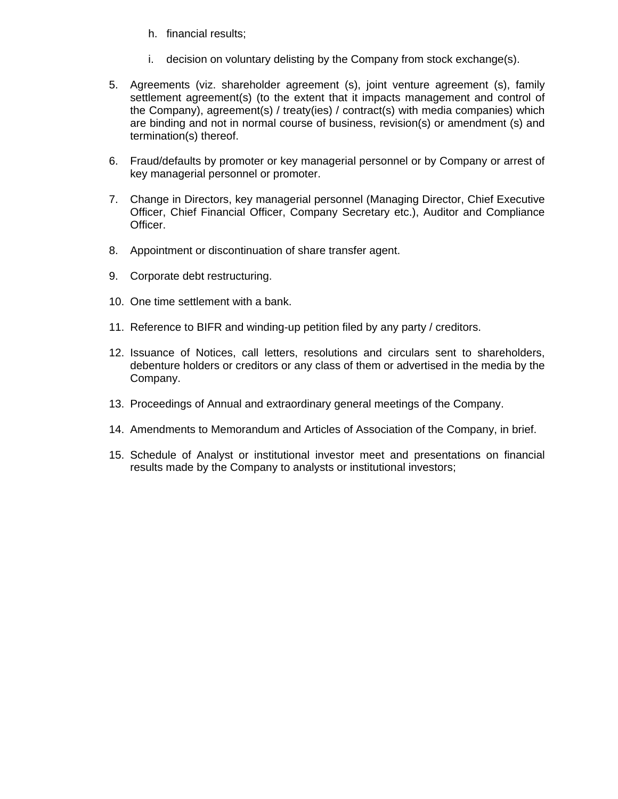- h. financial results;
- i. decision on voluntary delisting by the Company from stock exchange(s).
- 5. Agreements (viz. shareholder agreement (s), joint venture agreement (s), family settlement agreement(s) (to the extent that it impacts management and control of the Company), agreement(s) / treaty(ies) / contract(s) with media companies) which are binding and not in normal course of business, revision(s) or amendment (s) and termination(s) thereof.
- 6. Fraud/defaults by promoter or key managerial personnel or by Company or arrest of key managerial personnel or promoter.
- 7. Change in Directors, key managerial personnel (Managing Director, Chief Executive Officer, Chief Financial Officer, Company Secretary etc.), Auditor and Compliance Officer.
- 8. Appointment or discontinuation of share transfer agent.
- 9. Corporate debt restructuring.
- 10. One time settlement with a bank.
- 11. Reference to BIFR and winding-up petition filed by any party / creditors.
- 12. Issuance of Notices, call letters, resolutions and circulars sent to shareholders, debenture holders or creditors or any class of them or advertised in the media by the Company.
- 13. Proceedings of Annual and extraordinary general meetings of the Company.
- 14. Amendments to Memorandum and Articles of Association of the Company, in brief.
- 15. Schedule of Analyst or institutional investor meet and presentations on financial results made by the Company to analysts or institutional investors;